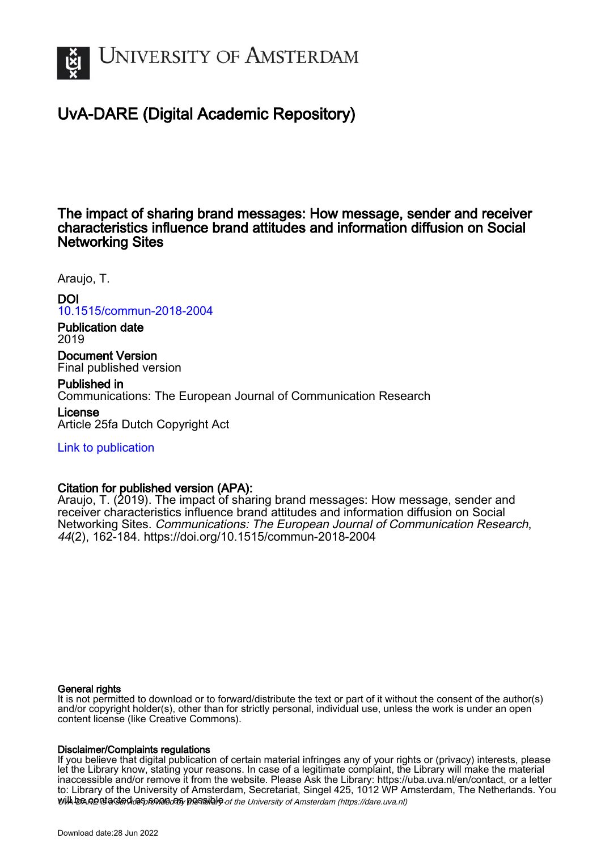

# UvA-DARE (Digital Academic Repository)

The impact of sharing brand messages: How message, sender and receiver characteristics influence brand attitudes and information diffusion on Social Networking Sites

Araujo, T.

DOI [10.1515/commun-2018-2004](https://doi.org/10.1515/commun-2018-2004)

Publication date 2019

Document Version Final published version

Published in Communications: The European Journal of Communication Research License

Article 25fa Dutch Copyright Act

[Link to publication](https://dare.uva.nl/personal/pure/en/publications/the-impact-of-sharing-brand-messages-how-message-sender-and-receiver-characteristics-influence-brand-attitudes-and-information-diffusion-on-social-networking-sites(c066da68-6ede-4256-a460-ff39ee91404b).html)

## Citation for published version (APA):

Araujo, T. (2019). The impact of sharing brand messages: How message, sender and receiver characteristics influence brand attitudes and information diffusion on Social Networking Sites. Communications: The European Journal of Communication Research, 44(2), 162-184.<https://doi.org/10.1515/commun-2018-2004>

#### General rights

It is not permitted to download or to forward/distribute the text or part of it without the consent of the author(s) and/or copyright holder(s), other than for strictly personal, individual use, unless the work is under an open content license (like Creative Commons).

#### Disclaimer/Complaints regulations

will be contacted as sontacty pessible of the University of Amsterdam (https://dare.uva.nl) If you believe that digital publication of certain material infringes any of your rights or (privacy) interests, please let the Library know, stating your reasons. In case of a legitimate complaint, the Library will make the material inaccessible and/or remove it from the website. Please Ask the Library: https://uba.uva.nl/en/contact, or a letter to: Library of the University of Amsterdam, Secretariat, Singel 425, 1012 WP Amsterdam, The Netherlands. You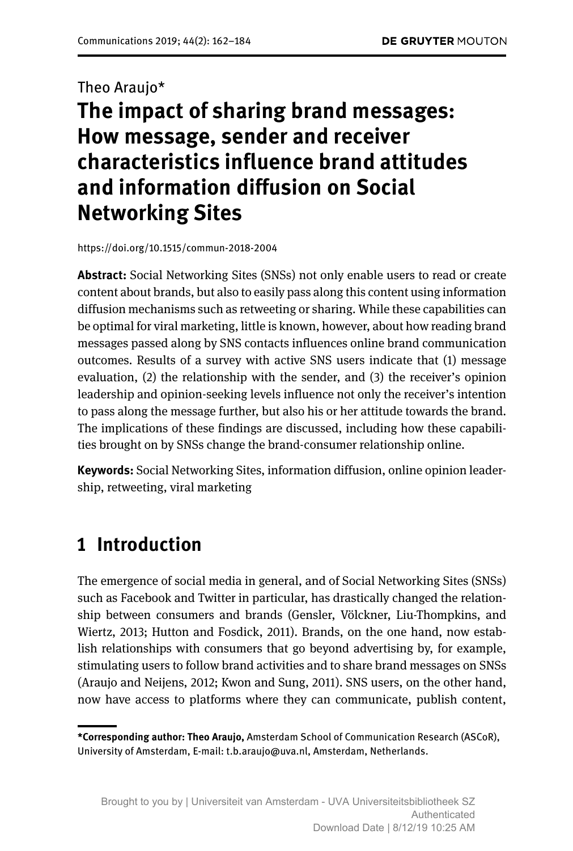# Theo Araujo\* **The impact of sharing brand messages: How message, sender and receiver characteristics influence brand attitudes and information diffusion on Social Networking Sites**

https://doi.org/10.1515/commun-2018-2004

**Abstract:** Social Networking Sites (SNSs) not only enable users to read or create content about brands, but also to easily pass along this content using information diffusion mechanisms such as retweeting or sharing. While these capabilities can be optimal for viral marketing, little is known, however, about how reading brand messages passed along by SNS contacts influences online brand communication outcomes. Results of a survey with active SNS users indicate that (1) message evaluation, (2) the relationship with the sender, and (3) the receiver's opinion leadership and opinion-seeking levels influence not only the receiver's intention to pass along the message further, but also his or her attitude towards the brand. The implications of these findings are discussed, including how these capabilities brought on by SNSs change the brand-consumer relationship online.

**Keywords:** Social Networking Sites, information diffusion, online opinion leadership, retweeting, viral marketing

# **1 Introduction**

The emergence of social media in general, and of Social Networking Sites (SNSs) such as Facebook and Twitter in particular, has drastically changed the relationship between consumers and brands (Gensler, Völckner, Liu-Thompkins, and Wiertz, 2013; Hutton and Fosdick, 2011). Brands, on the one hand, now establish relationships with consumers that go beyond advertising by, for example, stimulating users to follow brand activities and to share brand messages on SNSs (Araujo and Neijens, 2012; Kwon and Sung, 2011). SNS users, on the other hand, now have access to platforms where they can communicate, publish content,

**<sup>\*</sup>Corresponding author: Theo Araujo,** Amsterdam School of Communication Research (ASCoR), University of Amsterdam, E-mail: [t.b.araujo@uva.nl,](mailto:t.b.araujo%40uva.nl?subject=) Amsterdam, Netherlands.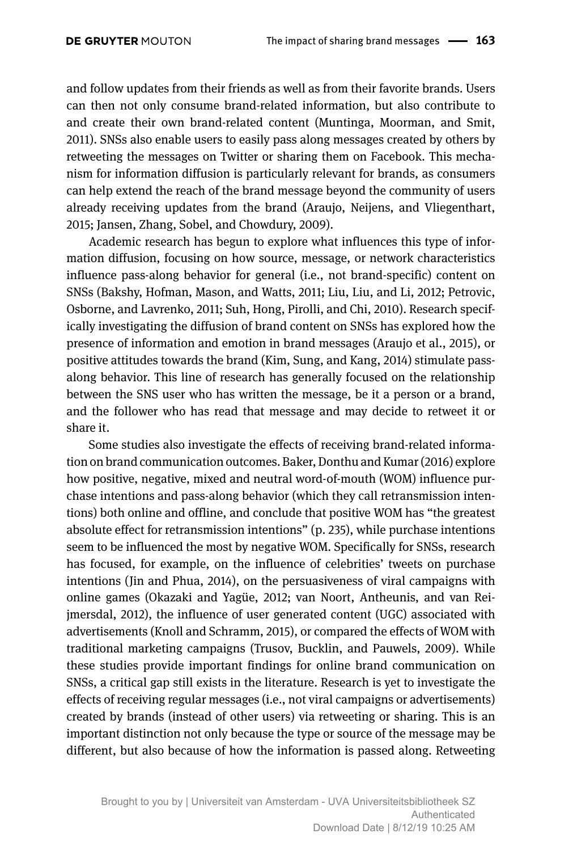and follow updates from their friends as well as from their favorite brands. Users can then not only consume brand-related information, but also contribute to and create their own brand-related content (Muntinga, Moorman, and Smit, 2011). SNSs also enable users to easily pass along messages created by others by retweeting the messages on Twitter or sharing them on Facebook. This mechanism for information diffusion is particularly relevant for brands, as consumers can help extend the reach of the brand message beyond the community of users already receiving updates from the brand (Araujo, Neijens, and Vliegenthart, 2015; Jansen, Zhang, Sobel, and Chowdury, 2009).

Academic research has begun to explore what influences this type of information diffusion, focusing on how source, message, or network characteristics influence pass-along behavior for general (i.e., not brand-specific) content on SNSs (Bakshy, Hofman, Mason, and Watts, 2011; Liu, Liu, and Li, 2012; Petrovic, Osborne, and Lavrenko, 2011; Suh, Hong, Pirolli, and Chi, 2010). Research specifically investigating the diffusion of brand content on SNSs has explored how the presence of information and emotion in brand messages (Araujo et al., 2015), or positive attitudes towards the brand (Kim, Sung, and Kang, 2014) stimulate passalong behavior. This line of research has generally focused on the relationship between the SNS user who has written the message, be it a person or a brand, and the follower who has read that message and may decide to retweet it or share it.

Some studies also investigate the effects of receiving brand-related information on brand communication outcomes. Baker, Donthu and Kumar (2016) explore how positive, negative, mixed and neutral word-of-mouth (WOM) influence purchase intentions and pass-along behavior (which they call retransmission intentions) both online and offline, and conclude that positive WOM has "the greatest absolute effect for retransmission intentions" (p. 235), while purchase intentions seem to be influenced the most by negative WOM. Specifically for SNSs, research has focused, for example, on the influence of celebrities' tweets on purchase intentions (Jin and Phua, 2014), on the persuasiveness of viral campaigns with online games (Okazaki and Yagüe, 2012; van Noort, Antheunis, and van Reijmersdal, 2012), the influence of user generated content (UGC) associated with advertisements (Knoll and Schramm, 2015), or compared the effects of WOM with traditional marketing campaigns (Trusov, Bucklin, and Pauwels, 2009). While these studies provide important findings for online brand communication on SNSs, a critical gap still exists in the literature. Research is yet to investigate the effects of receiving regular messages (i.e., not viral campaigns or advertisements) created by brands (instead of other users) via retweeting or sharing. This is an important distinction not only because the type or source of the message may be different, but also because of how the information is passed along. Retweeting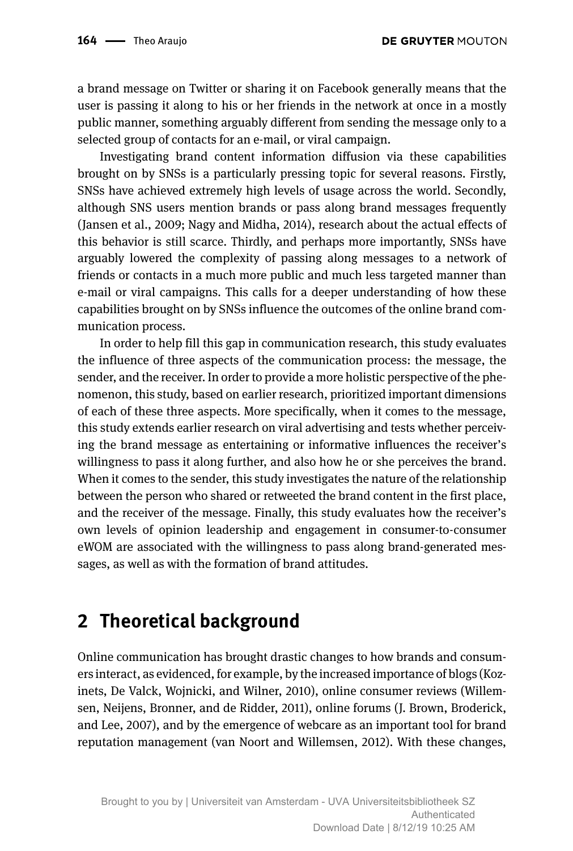a brand message on Twitter or sharing it on Facebook generally means that the user is passing it along to his or her friends in the network at once in a mostly public manner, something arguably different from sending the message only to a selected group of contacts for an e-mail, or viral campaign.

Investigating brand content information diffusion via these capabilities brought on by SNSs is a particularly pressing topic for several reasons. Firstly, SNSs have achieved extremely high levels of usage across the world. Secondly, although SNS users mention brands or pass along brand messages frequently (Jansen et al., 2009; Nagy and Midha, 2014), research about the actual effects of this behavior is still scarce. Thirdly, and perhaps more importantly, SNSs have arguably lowered the complexity of passing along messages to a network of friends or contacts in a much more public and much less targeted manner than e-mail or viral campaigns. This calls for a deeper understanding of how these capabilities brought on by SNSs influence the outcomes of the online brand communication process.

In order to help fill this gap in communication research, this study evaluates the influence of three aspects of the communication process: the message, the sender, and the receiver. In order to provide a more holistic perspective of the phenomenon, this study, based on earlier research, prioritized important dimensions of each of these three aspects. More specifically, when it comes to the message, this study extends earlier research on viral advertising and tests whether perceiving the brand message as entertaining or informative influences the receiver's willingness to pass it along further, and also how he or she perceives the brand. When it comes to the sender, this study investigates the nature of the relationship between the person who shared or retweeted the brand content in the first place, and the receiver of the message. Finally, this study evaluates how the receiver's own levels of opinion leadership and engagement in consumer-to-consumer eWOM are associated with the willingness to pass along brand-generated messages, as well as with the formation of brand attitudes.

# **2 Theoretical background**

Online communication has brought drastic changes to how brands and consumers interact, as evidenced, for example, by the increased importance of blogs (Kozinets, De Valck, Wojnicki, and Wilner, 2010), online consumer reviews (Willemsen, Neijens, Bronner, and de Ridder, 2011), online forums (J. Brown, Broderick, and Lee, 2007), and by the emergence of webcare as an important tool for brand reputation management (van Noort and Willemsen, 2012). With these changes,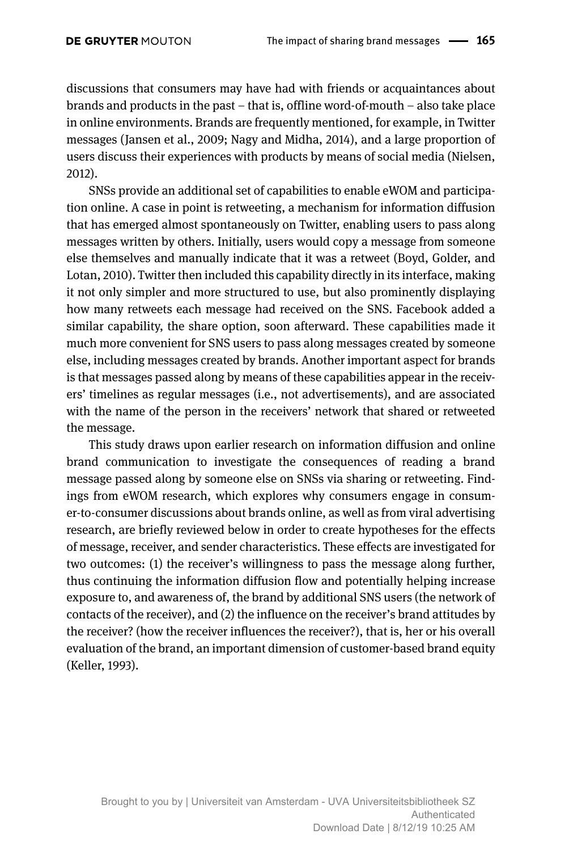discussions that consumers may have had with friends or acquaintances about brands and products in the past – that is, offline word-of-mouth – also take place in online environments. Brands are frequently mentioned, for example, in Twitter messages (Jansen et al., 2009; Nagy and Midha, 2014), and a large proportion of users discuss their experiences with products by means of social media (Nielsen, 2012).

SNSs provide an additional set of capabilities to enable eWOM and participation online. A case in point is retweeting, a mechanism for information diffusion that has emerged almost spontaneously on Twitter, enabling users to pass along messages written by others. Initially, users would copy a message from someone else themselves and manually indicate that it was a retweet (Boyd, Golder, and Lotan, 2010). Twitter then included this capability directly in its interface, making it not only simpler and more structured to use, but also prominently displaying how many retweets each message had received on the SNS. Facebook added a similar capability, the share option, soon afterward. These capabilities made it much more convenient for SNS users to pass along messages created by someone else, including messages created by brands. Another important aspect for brands is that messages passed along by means of these capabilities appear in the receivers' timelines as regular messages (i.e., not advertisements), and are associated with the name of the person in the receivers' network that shared or retweeted the message.

This study draws upon earlier research on information diffusion and online brand communication to investigate the consequences of reading a brand message passed along by someone else on SNSs via sharing or retweeting. Findings from eWOM research, which explores why consumers engage in consumer-to-consumer discussions about brands online, as well as from viral advertising research, are briefly reviewed below in order to create hypotheses for the effects of message, receiver, and sender characteristics. These effects are investigated for two outcomes: (1) the receiver's willingness to pass the message along further, thus continuing the information diffusion flow and potentially helping increase exposure to, and awareness of, the brand by additional SNS users (the network of contacts of the receiver), and (2) the influence on the receiver's brand attitudes by the receiver? (how the receiver influences the receiver?), that is, her or his overall evaluation of the brand, an important dimension of customer-based brand equity (Keller, 1993).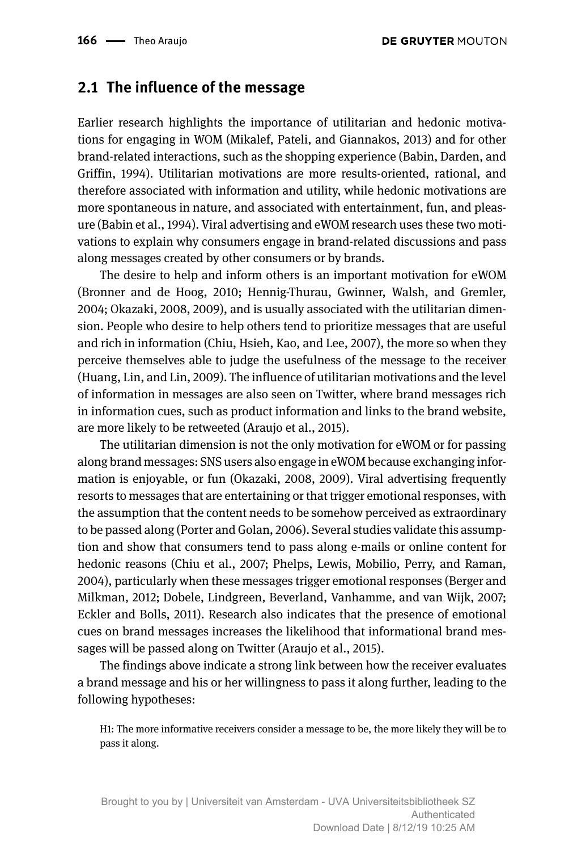#### **2.1 The influence of the message**

Earlier research highlights the importance of utilitarian and hedonic motivations for engaging in WOM (Mikalef, Pateli, and Giannakos, 2013) and for other brand-related interactions, such as the shopping experience (Babin, Darden, and Griffin, 1994). Utilitarian motivations are more results-oriented, rational, and therefore associated with information and utility, while hedonic motivations are more spontaneous in nature, and associated with entertainment, fun, and pleasure (Babin et al., 1994). Viral advertising and eWOM research uses these two motivations to explain why consumers engage in brand-related discussions and pass along messages created by other consumers or by brands.

The desire to help and inform others is an important motivation for eWOM (Bronner and de Hoog, 2010; Hennig-Thurau, Gwinner, Walsh, and Gremler, 2004; Okazaki, 2008, 2009), and is usually associated with the utilitarian dimension. People who desire to help others tend to prioritize messages that are useful and rich in information (Chiu, Hsieh, Kao, and Lee, 2007), the more so when they perceive themselves able to judge the usefulness of the message to the receiver (Huang, Lin, and Lin, 2009). The influence of utilitarian motivations and the level of information in messages are also seen on Twitter, where brand messages rich in information cues, such as product information and links to the brand website, are more likely to be retweeted (Araujo et al., 2015).

The utilitarian dimension is not the only motivation for eWOM or for passing along brand messages: SNS users also engage in eWOM because exchanging information is enjoyable, or fun (Okazaki, 2008, 2009). Viral advertising frequently resorts to messages that are entertaining or that trigger emotional responses, with the assumption that the content needs to be somehow perceived as extraordinary to be passed along (Porter and Golan, 2006). Several studies validate this assumption and show that consumers tend to pass along e-mails or online content for hedonic reasons (Chiu et al., 2007; Phelps, Lewis, Mobilio, Perry, and Raman, 2004), particularly when these messages trigger emotional responses (Berger and Milkman, 2012; Dobele, Lindgreen, Beverland, Vanhamme, and van Wijk, 2007; Eckler and Bolls, 2011). Research also indicates that the presence of emotional cues on brand messages increases the likelihood that informational brand messages will be passed along on Twitter (Araujo et al., 2015).

The findings above indicate a strong link between how the receiver evaluates a brand message and his or her willingness to pass it along further, leading to the following hypotheses:

H1: The more informative receivers consider a message to be, the more likely they will be to pass it along.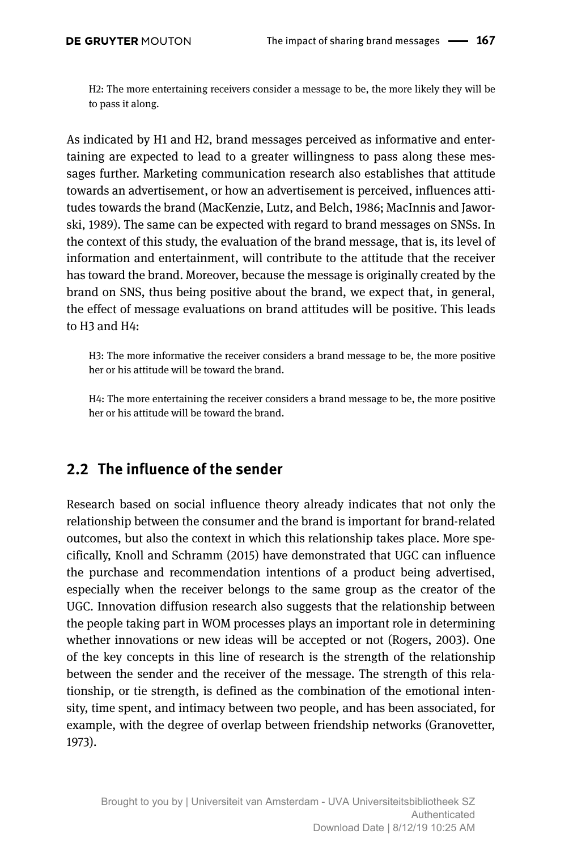H2: The more entertaining receivers consider a message to be, the more likely they will be to pass it along.

As indicated by H1 and H2, brand messages perceived as informative and entertaining are expected to lead to a greater willingness to pass along these messages further. Marketing communication research also establishes that attitude towards an advertisement, or how an advertisement is perceived, influences attitudes towards the brand (MacKenzie, Lutz, and Belch, 1986; MacInnis and Jaworski, 1989). The same can be expected with regard to brand messages on SNSs. In the context of this study, the evaluation of the brand message, that is, its level of information and entertainment, will contribute to the attitude that the receiver has toward the brand. Moreover, because the message is originally created by the brand on SNS, thus being positive about the brand, we expect that, in general, the effect of message evaluations on brand attitudes will be positive. This leads to H3 and H4:

H3: The more informative the receiver considers a brand message to be, the more positive her or his attitude will be toward the brand.

H4: The more entertaining the receiver considers a brand message to be, the more positive her or his attitude will be toward the brand.

## **2.2 The influence of the sender**

Research based on social influence theory already indicates that not only the relationship between the consumer and the brand is important for brand-related outcomes, but also the context in which this relationship takes place. More specifically, Knoll and Schramm (2015) have demonstrated that UGC can influence the purchase and recommendation intentions of a product being advertised, especially when the receiver belongs to the same group as the creator of the UGC. Innovation diffusion research also suggests that the relationship between the people taking part in WOM processes plays an important role in determining whether innovations or new ideas will be accepted or not (Rogers, 2003). One of the key concepts in this line of research is the strength of the relationship between the sender and the receiver of the message. The strength of this relationship, or tie strength, is defined as the combination of the emotional intensity, time spent, and intimacy between two people, and has been associated, for example, with the degree of overlap between friendship networks (Granovetter, 1973).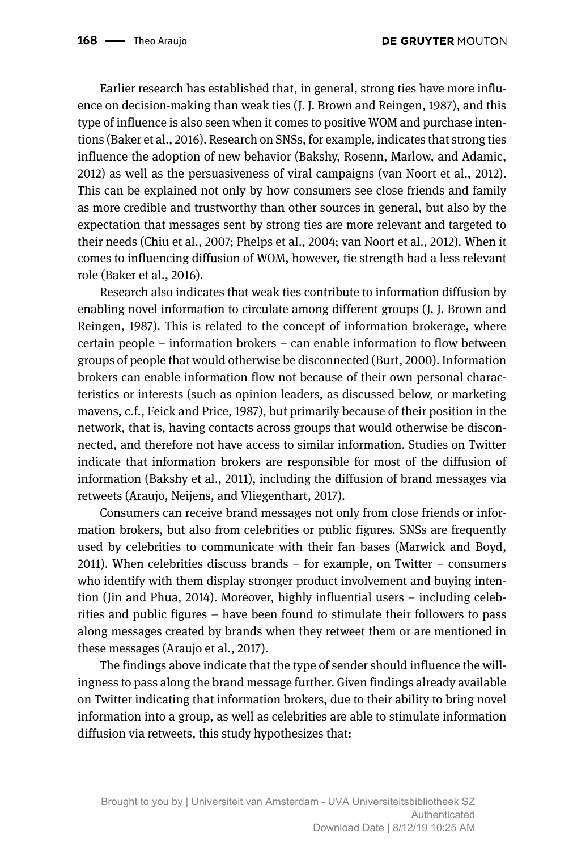Earlier research has established that, in general, strong ties have more influence on decision-making than weak ties (J. J. Brown and Reingen, 1987), and this type of influence is also seen when it comes to positive WOM and purchase intentions (Baker et al., 2016). Research on SNSs, for example, indicates that strong ties influence the adoption of new behavior (Bakshy, Rosenn, Marlow, and Adamic, 2012) as well as the persuasiveness of viral campaigns (van Noort et al., 2012). This can be explained not only by how consumers see close friends and family as more credible and trustworthy than other sources in general, but also by the expectation that messages sent by strong ties are more relevant and targeted to their needs (Chiu et al., 2007; Phelps et al., 2004; van Noort et al., 2012). When it comes to influencing diffusion of WOM, however, tie strength had a less relevant role (Baker et al., 2016).

Research also indicates that weak ties contribute to information diffusion by enabling novel information to circulate among different groups (J. J. Brown and Reingen, 1987). This is related to the concept of information brokerage, where certain people – information brokers – can enable information to flow between groups of people that would otherwise be disconnected (Burt, 2000). Information brokers can enable information flow not because of their own personal characteristics or interests (such as opinion leaders, as discussed below, or marketing mavens, c.f., Feick and Price, 1987), but primarily because of their position in the network, that is, having contacts across groups that would otherwise be disconnected, and therefore not have access to similar information. Studies on Twitter indicate that information brokers are responsible for most of the diffusion of information (Bakshy et al., 2011), including the diffusion of brand messages via retweets (Araujo, Neijens, and Vliegenthart, 2017).

Consumers can receive brand messages not only from close friends or information brokers, but also from celebrities or public figures. SNSs are frequently used by celebrities to communicate with their fan bases (Marwick and Boyd, 2011). When celebrities discuss brands – for example, on Twitter – consumers who identify with them display stronger product involvement and buying intention (Jin and Phua, 2014). Moreover, highly influential users – including celebrities and public figures – have been found to stimulate their followers to pass along messages created by brands when they retweet them or are mentioned in these messages (Araujo et al., 2017).

The findings above indicate that the type of sender should influence the willingness to pass along the brand message further. Given findings already available on Twitter indicating that information brokers, due to their ability to bring novel information into a group, as well as celebrities are able to stimulate information diffusion via retweets, this study hypothesizes that: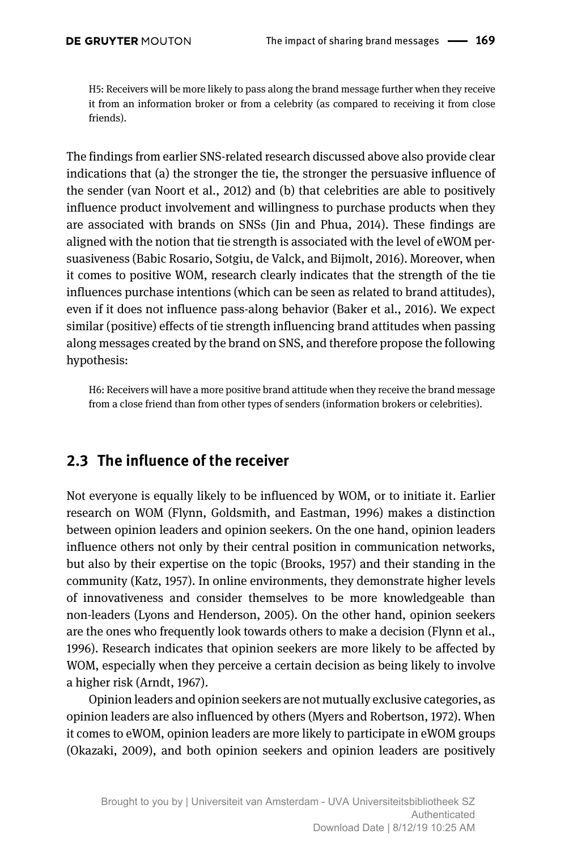H5: Receivers will be more likely to pass along the brand message further when they receive it from an information broker or from a celebrity (as compared to receiving it from close friends).

The findings from earlier SNS-related research discussed above also provide clear indications that (a) the stronger the tie, the stronger the persuasive influence of the sender (van Noort et al., 2012) and (b) that celebrities are able to positively influence product involvement and willingness to purchase products when they are associated with brands on SNSs (Jin and Phua, 2014). These findings are aligned with the notion that tie strength is associated with the level of eWOM persuasiveness (Babic Rosario, Sotgiu, de Valck, and Bijmolt, 2016). Moreover, when it comes to positive WOM, research clearly indicates that the strength of the tie influences purchase intentions (which can be seen as related to brand attitudes), even if it does not influence pass-along behavior (Baker et al., 2016). We expect similar (positive) effects of tie strength influencing brand attitudes when passing along messages created by the brand on SNS, and therefore propose the following hypothesis:

H6: Receivers will have a more positive brand attitude when they receive the brand message from a close friend than from other types of senders (information brokers or celebrities).

### **2.3 The influence of the receiver**

Not everyone is equally likely to be influenced by WOM, or to initiate it. Earlier research on WOM (Flynn, Goldsmith, and Eastman, 1996) makes a distinction between opinion leaders and opinion seekers. On the one hand, opinion leaders influence others not only by their central position in communication networks, but also by their expertise on the topic (Brooks, 1957) and their standing in the community (Katz, 1957). In online environments, they demonstrate higher levels of innovativeness and consider themselves to be more knowledgeable than non-leaders (Lyons and Henderson, 2005). On the other hand, opinion seekers are the ones who frequently look towards others to make a decision (Flynn et al., 1996). Research indicates that opinion seekers are more likely to be affected by WOM, especially when they perceive a certain decision as being likely to involve a higher risk (Arndt, 1967).

Opinion leaders and opinion seekers are not mutually exclusive categories, as opinion leaders are also influenced by others (Myers and Robertson, 1972). When it comes to eWOM, opinion leaders are more likely to participate in eWOM groups (Okazaki, 2009), and both opinion seekers and opinion leaders are positively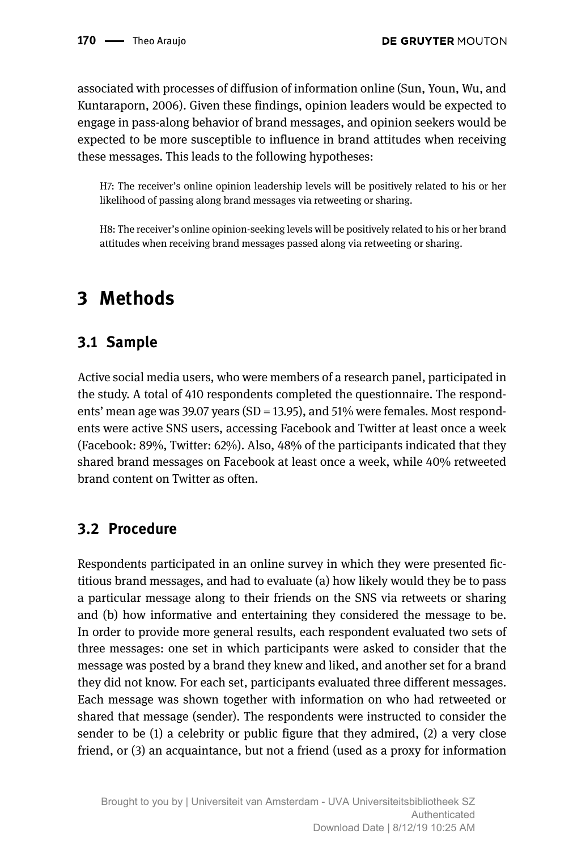associated with processes of diffusion of information online (Sun, Youn, Wu, and Kuntaraporn, 2006). Given these findings, opinion leaders would be expected to engage in pass-along behavior of brand messages, and opinion seekers would be expected to be more susceptible to influence in brand attitudes when receiving these messages. This leads to the following hypotheses:

H7: The receiver's online opinion leadership levels will be positively related to his or her likelihood of passing along brand messages via retweeting or sharing.

H8: The receiver's online opinion-seeking levels will be positively related to his or her brand attitudes when receiving brand messages passed along via retweeting or sharing.

# **3 Methods**

## **3.1 Sample**

Active social media users, who were members of a research panel, participated in the study. A total of 410 respondents completed the questionnaire. The respondents' mean age was 39.07 years (SD = 13.95), and 51% were females. Most respondents were active SNS users, accessing Facebook and Twitter at least once a week (Facebook: 89%, Twitter: 62%). Also, 48% of the participants indicated that they shared brand messages on Facebook at least once a week, while 40% retweeted brand content on Twitter as often.

## **3.2 Procedure**

Respondents participated in an online survey in which they were presented fictitious brand messages, and had to evaluate (a) how likely would they be to pass a particular message along to their friends on the SNS via retweets or sharing and (b) how informative and entertaining they considered the message to be. In order to provide more general results, each respondent evaluated two sets of three messages: one set in which participants were asked to consider that the message was posted by a brand they knew and liked, and another set for a brand they did not know. For each set, participants evaluated three different messages. Each message was shown together with information on who had retweeted or shared that message (sender). The respondents were instructed to consider the sender to be  $(1)$  a celebrity or public figure that they admired,  $(2)$  a very close friend, or (3) an acquaintance, but not a friend (used as a proxy for information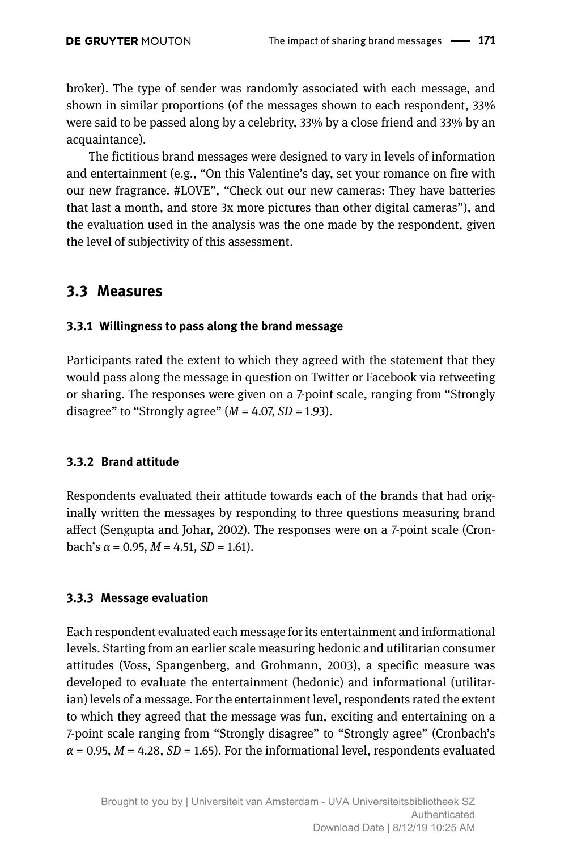broker). The type of sender was randomly associated with each message, and shown in similar proportions (of the messages shown to each respondent, 33% were said to be passed along by a celebrity, 33% by a close friend and 33% by an acquaintance).

The fictitious brand messages were designed to vary in levels of information and entertainment (e.g., "On this Valentine's day, set your romance on fire with our new fragrance. #LOVE", "Check out our new cameras: They have batteries that last a month, and store 3x more pictures than other digital cameras"), and the evaluation used in the analysis was the one made by the respondent, given the level of subjectivity of this assessment.

### **3.3 Measures**

#### **3.3.1 Willingness to pass along the brand message**

Participants rated the extent to which they agreed with the statement that they would pass along the message in question on Twitter or Facebook via retweeting or sharing. The responses were given on a 7-point scale, ranging from "Strongly disagree" to "Strongly agree"  $(M = 4.07, SD = 1.93)$ .

#### **3.3.2 Brand attitude**

Respondents evaluated their attitude towards each of the brands that had originally written the messages by responding to three questions measuring brand affect (Sengupta and Johar, 2002). The responses were on a 7-point scale (Cronbach's *α* = 0.95, *M* = 4.51, *SD* = 1.61).

#### **3.3.3 Message evaluation**

Each respondent evaluated each message for its entertainment and informational levels. Starting from an earlier scale measuring hedonic and utilitarian consumer attitudes (Voss, Spangenberg, and Grohmann, 2003), a specific measure was developed to evaluate the entertainment (hedonic) and informational (utilitarian) levels of a message. For the entertainment level, respondents rated the extent to which they agreed that the message was fun, exciting and entertaining on a 7-point scale ranging from "Strongly disagree" to "Strongly agree" (Cronbach's  $\alpha$  = 0.95, *M* = 4.28, *SD* = 1.65). For the informational level, respondents evaluated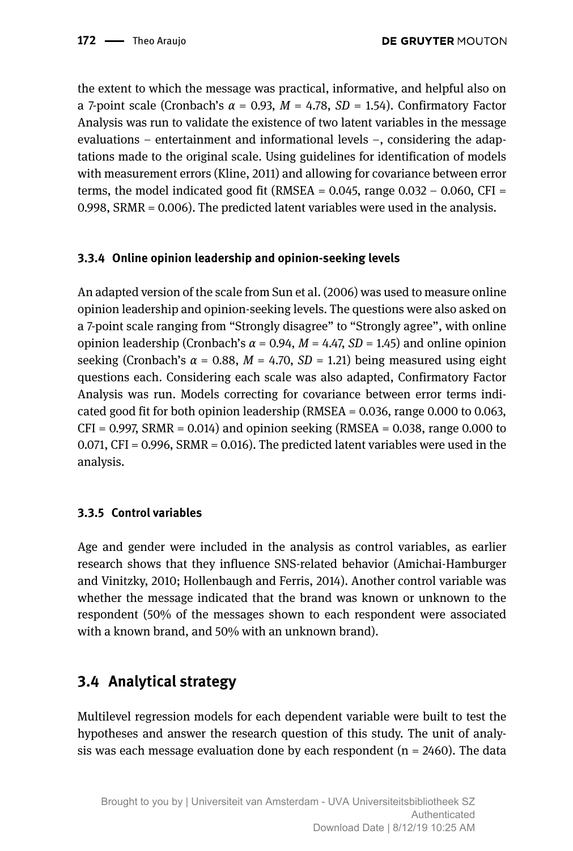the extent to which the message was practical, informative, and helpful also on a 7-point scale (Cronbach's *α* = 0.93, *M* = 4.78, *SD* = 1.54). Confirmatory Factor Analysis was run to validate the existence of two latent variables in the message evaluations – entertainment and informational levels –, considering the adaptations made to the original scale. Using guidelines for identification of models with measurement errors (Kline, 2011) and allowing for covariance between error terms, the model indicated good fit (RMSEA =  $0.045$ , range  $0.032 - 0.060$ , CFI = 0.998, SRMR = 0.006). The predicted latent variables were used in the analysis.

#### **3.3.4 Online opinion leadership and opinion-seeking levels**

An adapted version of the scale from Sun et al. (2006) was used to measure online opinion leadership and opinion-seeking levels. The questions were also asked on a 7-point scale ranging from "Strongly disagree" to "Strongly agree", with online opinion leadership (Cronbach's  $α = 0.94$ ,  $M = 4.47$ ,  $SD = 1.45$ ) and online opinion seeking (Cronbach's  $\alpha$  = 0.88,  $M$  = 4.70,  $SD$  = 1.21) being measured using eight questions each. Considering each scale was also adapted, Confirmatory Factor Analysis was run. Models correcting for covariance between error terms indicated good fit for both opinion leadership (RMSEA  $= 0.036$ , range 0.000 to 0.063,  $CFI = 0.997$ , SRMR = 0.014) and opinion seeking (RMSEA = 0.038, range 0.000 to 0.071, CFI = 0.996, SRMR = 0.016). The predicted latent variables were used in the analysis.

#### **3.3.5 Control variables**

Age and gender were included in the analysis as control variables, as earlier research shows that they influence SNS-related behavior (Amichai-Hamburger and Vinitzky, 2010; Hollenbaugh and Ferris, 2014). Another control variable was whether the message indicated that the brand was known or unknown to the respondent (50% of the messages shown to each respondent were associated with a known brand, and 50% with an unknown brand).

## **3.4 Analytical strategy**

Multilevel regression models for each dependent variable were built to test the hypotheses and answer the research question of this study. The unit of analysis was each message evaluation done by each respondent ( $n = 2460$ ). The data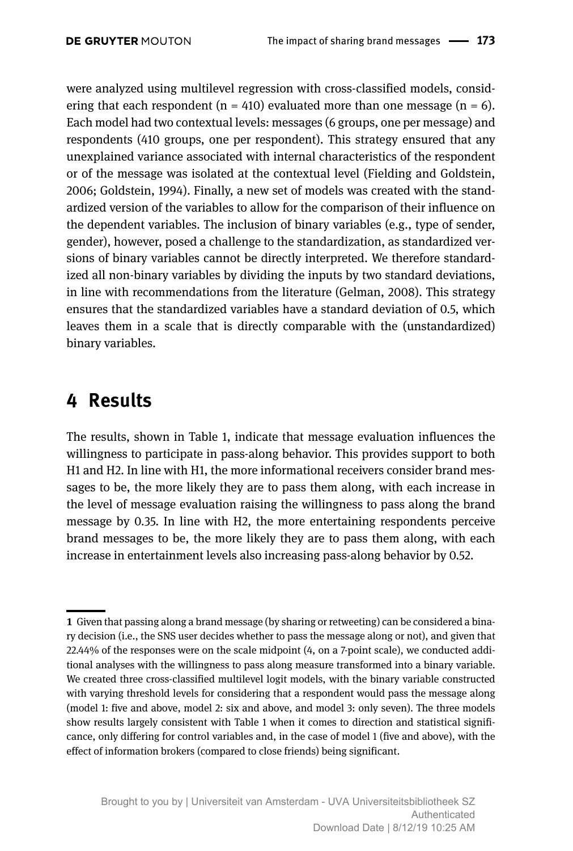were analyzed using multilevel regression with cross-classified models, considering that each respondent ( $n = 410$ ) evaluated more than one message ( $n = 6$ ). Each model had two contextual levels: messages (6 groups, one per message) and respondents (410 groups, one per respondent). This strategy ensured that any unexplained variance associated with internal characteristics of the respondent or of the message was isolated at the contextual level (Fielding and Goldstein, 2006; Goldstein, 1994). Finally, a new set of models was created with the standardized version of the variables to allow for the comparison of their influence on the dependent variables. The inclusion of binary variables (e.g., type of sender, gender), however, posed a challenge to the standardization, as standardized versions of binary variables cannot be directly interpreted. We therefore standardized all non-binary variables by dividing the inputs by two standard deviations, in line with recommendations from the literature (Gelman, 2008). This strategy ensures that the standardized variables have a standard deviation of 0.5, which leaves them in a scale that is directly comparable with the (unstandardized) binary variables.

## **4 Results**

The results, shown in Table 1, indicate that message evaluation influences the willingness to participate in pass-along behavior. This provides support to both H1 and H2. In line with H1, the more informational receivers consider brand messages to be, the more likely they are to pass them along, with each increase in the level of message evaluation raising the willingness to pass along the brand message by 0.35. In line with H2, the more entertaining respondents perceive brand messages to be, the more likely they are to pass them along, with each increase in entertainment levels also increasing pass-along behavior by 0.52.

**<sup>1</sup>** Given that passing along a brand message (by sharing or retweeting) can be considered a binary decision (i.e., the SNS user decides whether to pass the message along or not), and given that 22.44% of the responses were on the scale midpoint (4, on a 7-point scale), we conducted additional analyses with the willingness to pass along measure transformed into a binary variable. We created three cross-classified multilevel logit models, with the binary variable constructed with varying threshold levels for considering that a respondent would pass the message along (model 1: five and above, model 2: six and above, and model 3: only seven). The three models show results largely consistent with Table 1 when it comes to direction and statistical significance, only differing for control variables and, in the case of model 1 (five and above), with the effect of information brokers (compared to close friends) being significant.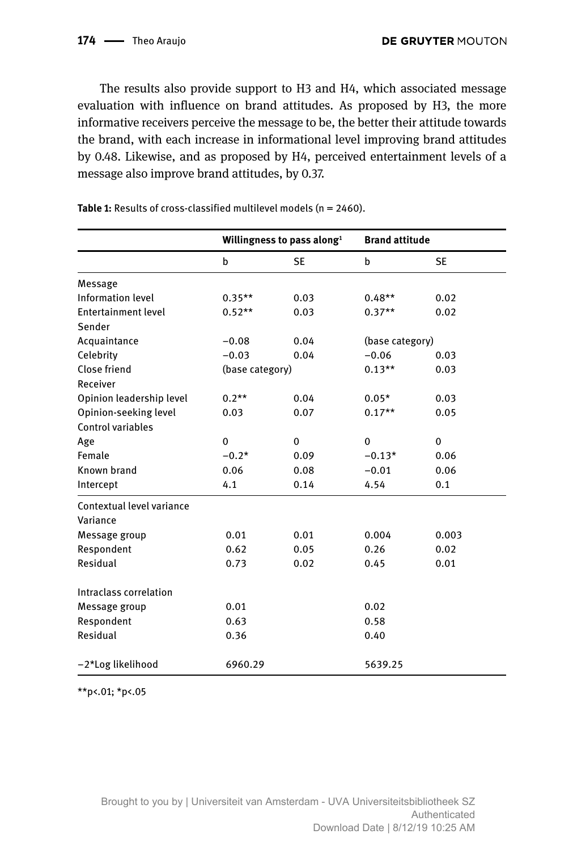The results also provide support to H3 and H4, which associated message evaluation with influence on brand attitudes. As proposed by H3, the more informative receivers perceive the message to be, the better their attitude towards the brand, with each increase in informational level improving brand attitudes by 0.48. Likewise, and as proposed by H4, perceived entertainment levels of a message also improve brand attitudes, by 0.37.

|                                       | Willingness to pass along <sup>1</sup> |           | <b>Brand attitude</b> |           |
|---------------------------------------|----------------------------------------|-----------|-----------------------|-----------|
|                                       | b                                      | <b>SE</b> | b                     | <b>SE</b> |
| Message                               |                                        |           |                       |           |
| Information level                     | $0.35**$                               | 0.03      | $0.48**$              | 0.02      |
| <b>Entertainment level</b>            | $0.52**$                               | 0.03      | $0.37**$              | 0.02      |
| Sender                                |                                        |           |                       |           |
| Acquaintance                          | $-0.08$                                | 0.04      | (base category)       |           |
| Celebrity                             | $-0.03$                                | 0.04      | $-0.06$               | 0.03      |
| Close friend                          | (base category)                        |           | $0.13**$              | 0.03      |
| Receiver                              |                                        |           |                       |           |
| Opinion leadership level              | $0.2**$                                | 0.04      | $0.05*$               | 0.03      |
| Opinion-seeking level                 | 0.03                                   | 0.07      | $0.17**$              | 0.05      |
| Control variables                     |                                        |           |                       |           |
| Age                                   | 0                                      | 0         | 0                     | 0         |
| Female                                | $-0.2*$                                | 0.09      | $-0.13*$              | 0.06      |
| Known brand                           | 0.06                                   | 0.08      | $-0.01$               | 0.06      |
| Intercept                             | 4.1                                    | 0.14      | 4.54                  | 0.1       |
| Contextual level variance<br>Variance |                                        |           |                       |           |
| Message group                         | 0.01                                   | 0.01      | 0.004                 | 0.003     |
| Respondent                            | 0.62                                   | 0.05      | 0.26                  | 0.02      |
| Residual                              | 0.73                                   | 0.02      | 0.45                  | 0.01      |
| Intraclass correlation                |                                        |           |                       |           |
| Message group                         | 0.01                                   |           | 0.02                  |           |
| Respondent                            | 0.63                                   |           | 0.58                  |           |
| Residual                              | 0.36                                   |           | 0.40                  |           |
| -2*Log likelihood                     | 6960.29                                |           | 5639.25               |           |

Table 1: Results of cross-classified multilevel models (n = 2460).

\*\*p<.01; \*p<.05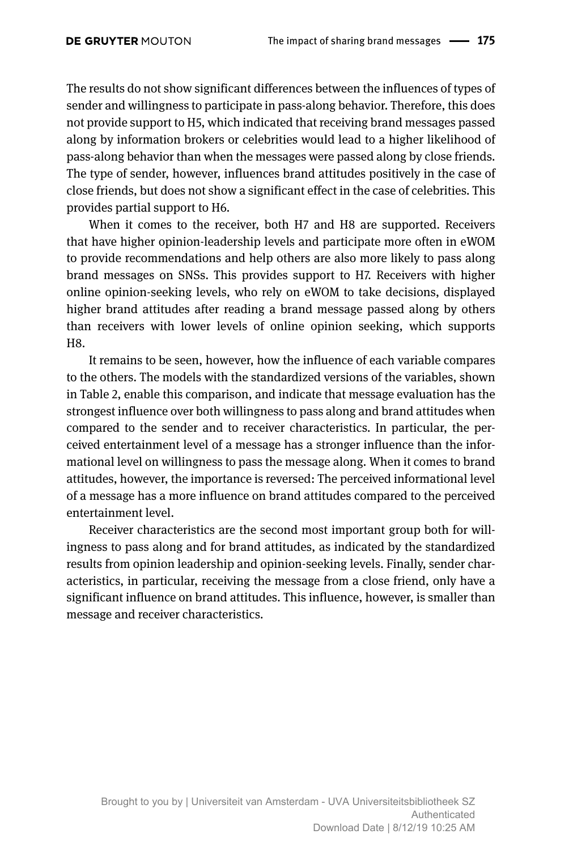The results do not show significant differences between the influences of types of sender and willingness to participate in pass-along behavior. Therefore, this does not provide support to H5, which indicated that receiving brand messages passed along by information brokers or celebrities would lead to a higher likelihood of pass-along behavior than when the messages were passed along by close friends. The type of sender, however, influences brand attitudes positively in the case of close friends, but does not show a significant effect in the case of celebrities. This provides partial support to H6.

When it comes to the receiver, both H7 and H8 are supported. Receivers that have higher opinion-leadership levels and participate more often in eWOM to provide recommendations and help others are also more likely to pass along brand messages on SNSs. This provides support to H7. Receivers with higher online opinion-seeking levels, who rely on eWOM to take decisions, displayed higher brand attitudes after reading a brand message passed along by others than receivers with lower levels of online opinion seeking, which supports H8.

It remains to be seen, however, how the influence of each variable compares to the others. The models with the standardized versions of the variables, shown in Table 2, enable this comparison, and indicate that message evaluation has the strongest influence over both willingness to pass along and brand attitudes when compared to the sender and to receiver characteristics. In particular, the perceived entertainment level of a message has a stronger influence than the informational level on willingness to pass the message along. When it comes to brand attitudes, however, the importance is reversed: The perceived informational level of a message has a more influence on brand attitudes compared to the perceived entertainment level.

Receiver characteristics are the second most important group both for willingness to pass along and for brand attitudes, as indicated by the standardized results from opinion leadership and opinion-seeking levels. Finally, sender characteristics, in particular, receiving the message from a close friend, only have a significant influence on brand attitudes. This influence, however, is smaller than message and receiver characteristics.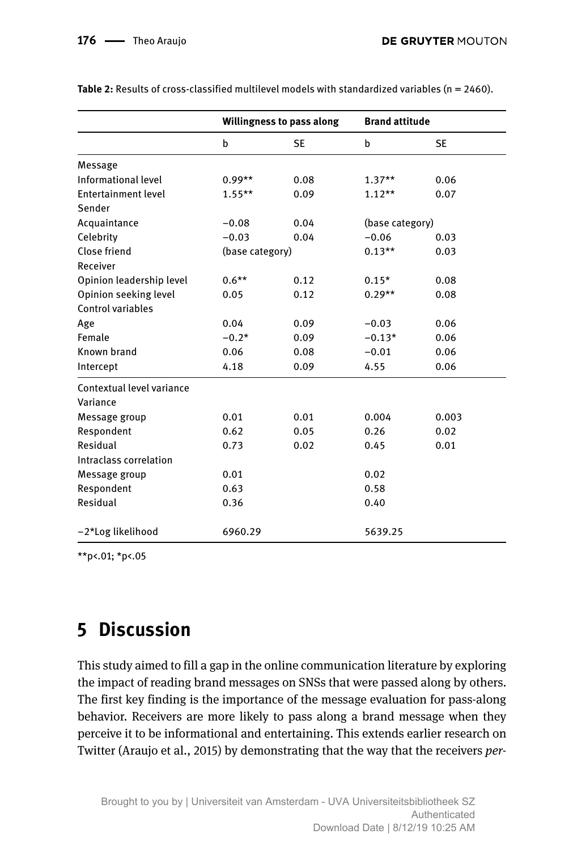|                            | <b>Willingness to pass along</b> |           | <b>Brand attitude</b> |           |
|----------------------------|----------------------------------|-----------|-----------------------|-----------|
|                            | b                                | <b>SE</b> | b                     | <b>SE</b> |
| Message                    |                                  |           |                       |           |
| Informational level        | $0.99**$                         | 0.08      | $1.37**$              | 0.06      |
| <b>Entertainment level</b> | $1.55***$                        | 0.09      | $1.12**$              | 0.07      |
| Sender                     |                                  |           |                       |           |
| Acquaintance               | $-0.08$                          | 0.04      | (base category)       |           |
| Celebrity                  | $-0.03$                          | 0.04      | $-0.06$               | 0.03      |
| Close friend               | (base category)                  |           | $0.13**$              | 0.03      |
| Receiver                   |                                  |           |                       |           |
| Opinion leadership level   | $0.6***$                         | 0.12      | $0.15*$               | 0.08      |
| Opinion seeking level      | 0.05                             | 0.12      | $0.29**$              | 0.08      |
| Control variables          |                                  |           |                       |           |
| Age                        | 0.04                             | 0.09      | $-0.03$               | 0.06      |
| Female                     | $-0.2*$                          | 0.09      | $-0.13*$              | 0.06      |
| Known brand                | 0.06                             | 0.08      | $-0.01$               | 0.06      |
| Intercept                  | 4.18                             | 0.09      | 4.55                  | 0.06      |
| Contextual level variance  |                                  |           |                       |           |
| Variance                   |                                  |           |                       |           |
| Message group              | 0.01                             | 0.01      | 0.004                 | 0.003     |
| Respondent                 | 0.62                             | 0.05      | 0.26                  | 0.02      |
| Residual                   | 0.73                             | 0.02      | 0.45                  | 0.01      |
| Intraclass correlation     |                                  |           |                       |           |
| Message group              | 0.01                             |           | 0.02                  |           |
| Respondent                 | 0.63                             |           | 0.58                  |           |
| Residual                   | 0.36                             |           | 0.40                  |           |
| -2*Log likelihood          | 6960.29                          |           | 5639.25               |           |

**Table 2:** Results of cross-classified multilevel models with standardized variables (n = 2460).

\*\*p<.01; \*p<.05

# **5 Discussion**

This study aimed to fill a gap in the online communication literature by exploring the impact of reading brand messages on SNSs that were passed along by others. The first key finding is the importance of the message evaluation for pass-along behavior. Receivers are more likely to pass along a brand message when they perceive it to be informational and entertaining. This extends earlier research on Twitter (Araujo et al., 2015) by demonstrating that the way that the receivers *per-*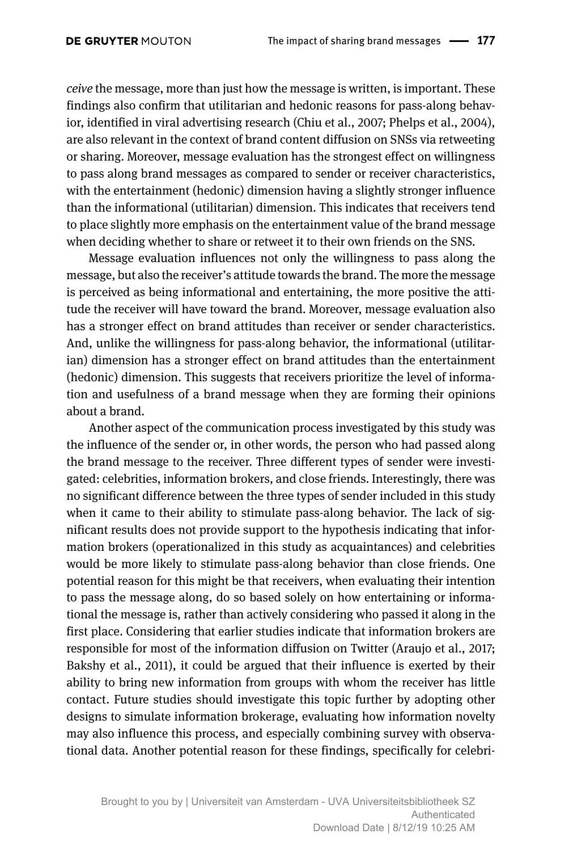*ceive* the message, more than just how the message is written, is important. These findings also confirm that utilitarian and hedonic reasons for pass-along behavior, identified in viral advertising research (Chiu et al., 2007; Phelps et al., 2004), are also relevant in the context of brand content diffusion on SNSs via retweeting or sharing. Moreover, message evaluation has the strongest effect on willingness to pass along brand messages as compared to sender or receiver characteristics, with the entertainment (hedonic) dimension having a slightly stronger influence than the informational (utilitarian) dimension. This indicates that receivers tend to place slightly more emphasis on the entertainment value of the brand message when deciding whether to share or retweet it to their own friends on the SNS.

Message evaluation influences not only the willingness to pass along the message, but also the receiver's attitude towards the brand. The more the message is perceived as being informational and entertaining, the more positive the attitude the receiver will have toward the brand. Moreover, message evaluation also has a stronger effect on brand attitudes than receiver or sender characteristics. And, unlike the willingness for pass-along behavior, the informational (utilitarian) dimension has a stronger effect on brand attitudes than the entertainment (hedonic) dimension. This suggests that receivers prioritize the level of information and usefulness of a brand message when they are forming their opinions about a brand.

Another aspect of the communication process investigated by this study was the influence of the sender or, in other words, the person who had passed along the brand message to the receiver. Three different types of sender were investigated: celebrities, information brokers, and close friends. Interestingly, there was no significant difference between the three types of sender included in this study when it came to their ability to stimulate pass-along behavior. The lack of significant results does not provide support to the hypothesis indicating that information brokers (operationalized in this study as acquaintances) and celebrities would be more likely to stimulate pass-along behavior than close friends. One potential reason for this might be that receivers, when evaluating their intention to pass the message along, do so based solely on how entertaining or informational the message is, rather than actively considering who passed it along in the first place. Considering that earlier studies indicate that information brokers are responsible for most of the information diffusion on Twitter (Araujo et al., 2017; Bakshy et al., 2011), it could be argued that their influence is exerted by their ability to bring new information from groups with whom the receiver has little contact. Future studies should investigate this topic further by adopting other designs to simulate information brokerage, evaluating how information novelty may also influence this process, and especially combining survey with observational data. Another potential reason for these findings, specifically for celebri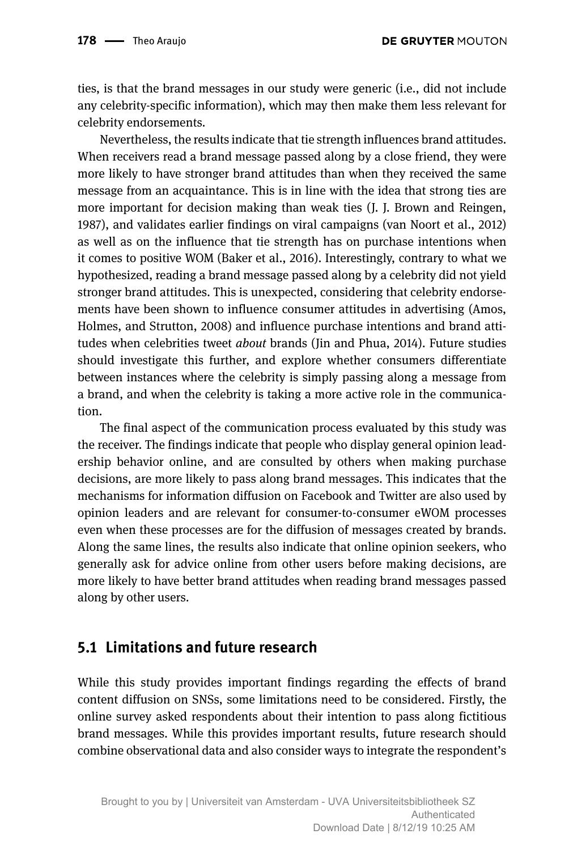ties, is that the brand messages in our study were generic (i.e., did not include any celebrity-specific information), which may then make them less relevant for celebrity endorsements.

Nevertheless, the results indicate that tie strength influences brand attitudes. When receivers read a brand message passed along by a close friend, they were more likely to have stronger brand attitudes than when they received the same message from an acquaintance. This is in line with the idea that strong ties are more important for decision making than weak ties (J. J. Brown and Reingen, 1987), and validates earlier findings on viral campaigns (van Noort et al., 2012) as well as on the influence that tie strength has on purchase intentions when it comes to positive WOM (Baker et al., 2016). Interestingly, contrary to what we hypothesized, reading a brand message passed along by a celebrity did not yield stronger brand attitudes. This is unexpected, considering that celebrity endorsements have been shown to influence consumer attitudes in advertising (Amos, Holmes, and Strutton, 2008) and influence purchase intentions and brand attitudes when celebrities tweet *about* brands (Jin and Phua, 2014). Future studies should investigate this further, and explore whether consumers differentiate between instances where the celebrity is simply passing along a message from a brand, and when the celebrity is taking a more active role in the communication.

The final aspect of the communication process evaluated by this study was the receiver. The findings indicate that people who display general opinion leadership behavior online, and are consulted by others when making purchase decisions, are more likely to pass along brand messages. This indicates that the mechanisms for information diffusion on Facebook and Twitter are also used by opinion leaders and are relevant for consumer-to-consumer eWOM processes even when these processes are for the diffusion of messages created by brands. Along the same lines, the results also indicate that online opinion seekers, who generally ask for advice online from other users before making decisions, are more likely to have better brand attitudes when reading brand messages passed along by other users.

### **5.1 Limitations and future research**

While this study provides important findings regarding the effects of brand content diffusion on SNSs, some limitations need to be considered. Firstly, the online survey asked respondents about their intention to pass along fictitious brand messages. While this provides important results, future research should combine observational data and also consider ways to integrate the respondent's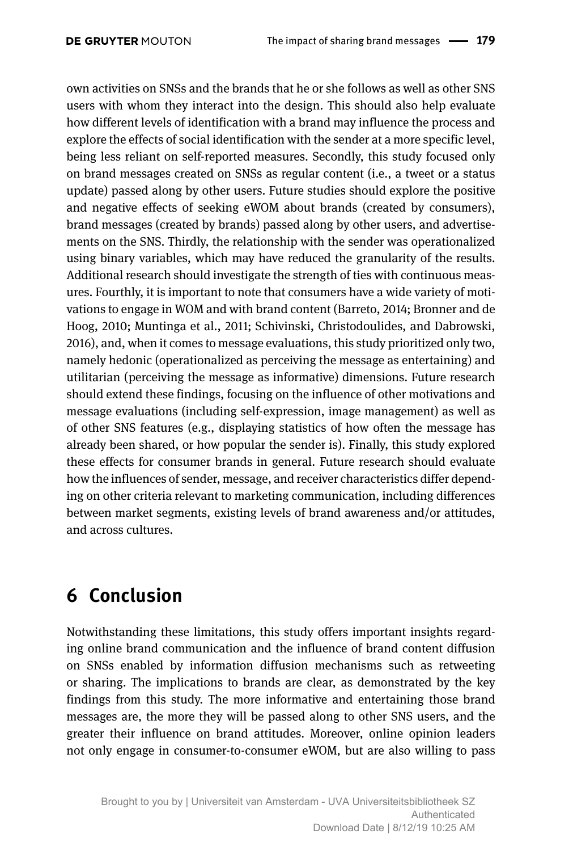own activities on SNSs and the brands that he or she follows as well as other SNS users with whom they interact into the design. This should also help evaluate how different levels of identification with a brand may influence the process and explore the effects of social identification with the sender at a more specific level, being less reliant on self-reported measures. Secondly, this study focused only on brand messages created on SNSs as regular content (i.e., a tweet or a status update) passed along by other users. Future studies should explore the positive and negative effects of seeking eWOM about brands (created by consumers), brand messages (created by brands) passed along by other users, and advertisements on the SNS. Thirdly, the relationship with the sender was operationalized using binary variables, which may have reduced the granularity of the results. Additional research should investigate the strength of ties with continuous measures. Fourthly, it is important to note that consumers have a wide variety of motivations to engage in WOM and with brand content (Barreto, 2014; Bronner and de Hoog, 2010; Muntinga et al., 2011; Schivinski, Christodoulides, and Dabrowski, 2016), and, when it comes to message evaluations, this study prioritized only two, namely hedonic (operationalized as perceiving the message as entertaining) and utilitarian (perceiving the message as informative) dimensions. Future research should extend these findings, focusing on the influence of other motivations and message evaluations (including self-expression, image management) as well as of other SNS features (e.g., displaying statistics of how often the message has already been shared, or how popular the sender is). Finally, this study explored these effects for consumer brands in general. Future research should evaluate how the influences of sender, message, and receiver characteristics differ depending on other criteria relevant to marketing communication, including differences between market segments, existing levels of brand awareness and/or attitudes, and across cultures.

# **6 Conclusion**

Notwithstanding these limitations, this study offers important insights regarding online brand communication and the influence of brand content diffusion on SNSs enabled by information diffusion mechanisms such as retweeting or sharing. The implications to brands are clear, as demonstrated by the key findings from this study. The more informative and entertaining those brand messages are, the more they will be passed along to other SNS users, and the greater their influence on brand attitudes. Moreover, online opinion leaders not only engage in consumer-to-consumer eWOM, but are also willing to pass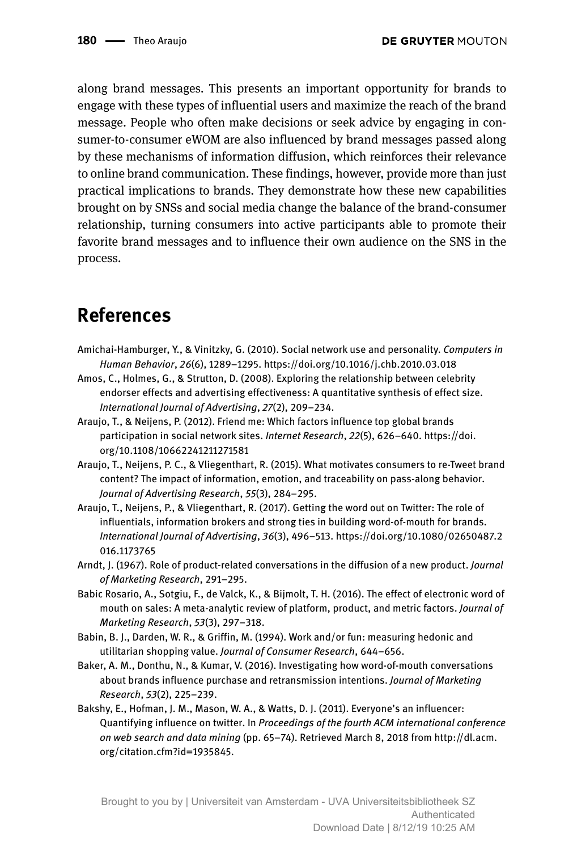along brand messages. This presents an important opportunity for brands to engage with these types of influential users and maximize the reach of the brand message. People who often make decisions or seek advice by engaging in consumer-to-consumer eWOM are also influenced by brand messages passed along by these mechanisms of information diffusion, which reinforces their relevance to online brand communication. These findings, however, provide more than just practical implications to brands. They demonstrate how these new capabilities brought on by SNSs and social media change the balance of the brand-consumer relationship, turning consumers into active participants able to promote their favorite brand messages and to influence their own audience on the SNS in the process.

## **References**

- Amichai-Hamburger, Y., & Vinitzky, G. (2010). Social network use and personality. *Computers in Human Behavior*, *26*(6), 1289–1295.<https://doi.org/10.1016/j.chb.2010.03.018>
- Amos, C., Holmes, G., & Strutton, D. (2008). Exploring the relationship between celebrity endorser effects and advertising effectiveness: A quantitative synthesis of effect size. *International Journal of Advertising*, *27*(2), 209–234.
- Araujo, T., & Neijens, P. (2012). Friend me: Which factors influence top global brands participation in social network sites. *Internet Research*, *22*(5), 626–640. [https://doi.](https://doi.org/10.1108/10662241211271581) [org/10.1108/10662241211271581](https://doi.org/10.1108/10662241211271581)
- Araujo, T., Neijens, P. C., & Vliegenthart, R. (2015). What motivates consumers to re-Tweet brand content? The impact of information, emotion, and traceability on pass-along behavior. *Journal of Advertising Research*, *55*(3), 284–295.
- Araujo, T., Neijens, P., & Vliegenthart, R. (2017). Getting the word out on Twitter: The role of influentials, information brokers and strong ties in building word-of-mouth for brands. *International Journal of Advertising*, *36*(3), 496–513. [https://doi.org/10.1080/02650487.2](https://doi.org/10.1080/02650487.2016.1173765) [016.1173765](https://doi.org/10.1080/02650487.2016.1173765)
- Arndt, J. (1967). Role of product-related conversations in the diffusion of a new product. *Journal of Marketing Research*, 291–295.
- Babic Rosario, A., Sotgiu, F., de Valck, K., & Bijmolt, T. H. (2016). The effect of electronic word of mouth on sales: A meta-analytic review of platform, product, and metric factors. *Journal of Marketing Research*, *53*(3), 297–318.
- Babin, B. J., Darden, W. R., & Griffin, M. (1994). Work and/or fun: measuring hedonic and utilitarian shopping value. *Journal of Consumer Research*, 644–656.
- Baker, A. M., Donthu, N., & Kumar, V. (2016). Investigating how word-of-mouth conversations about brands influence purchase and retransmission intentions. *Journal of Marketing Research*, *53*(2), 225–239.
- Bakshy, E., Hofman, J. M., Mason, W. A., & Watts, D. J. (2011). Everyone's an influencer: Quantifying influence on twitter. In *Proceedings of the fourth ACM international conference on web search and data mining* (pp. 65–74). Retrieved March 8, 2018 from [http://dl.acm.](http://dl.acm.org/citation.cfm?id=1935845.) [org/citation.cfm?id=1935845.](http://dl.acm.org/citation.cfm?id=1935845.)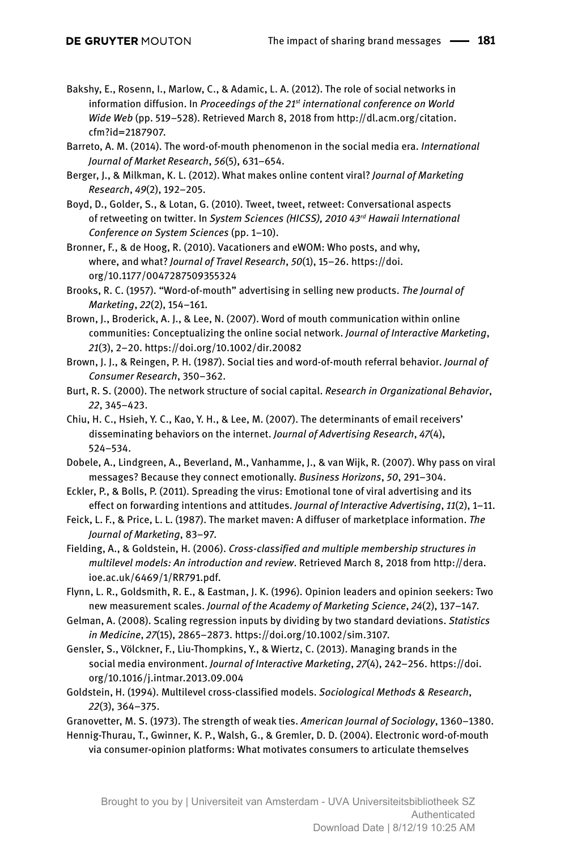- Bakshy, E., Rosenn, I., Marlow, C., & Adamic, L. A. (2012). The role of social networks in information diffusion. In *Proceedings of the 21st international conference on World Wide Web* (pp. 519–528). Retrieved March 8, 2018 from [http://dl.acm.org/citation.](http://dl.acm.org/citation.cfm?id=2187907.) [cfm?id=2187907.](http://dl.acm.org/citation.cfm?id=2187907.)
- Barreto, A. M. (2014). The word-of-mouth phenomenon in the social media era. *International Journal of Market Research*, *56*(5), 631–654.
- Berger, J., & Milkman, K. L. (2012). What makes online content viral? *Journal of Marketing Research*, *49*(2), 192–205.
- Boyd, D., Golder, S., & Lotan, G. (2010). Tweet, tweet, retweet: Conversational aspects of retweeting on twitter. In *System Sciences (HICSS), 2010 43rd Hawaii International Conference on System Sciences* (pp. 1–10).
- Bronner, F., & de Hoog, R. (2010). Vacationers and eWOM: Who posts, and why, where, and what? *Journal of Travel Research*, *50*(1), 15–26. [https://doi.](https://doi.org/10.1177/0047287509355324) [org/10.1177/0047287509355324](https://doi.org/10.1177/0047287509355324)
- Brooks, R. C. (1957). "Word-of-mouth" advertising in selling new products. *The Journal of Marketing*, *22*(2), 154–161.
- Brown, J., Broderick, A. J., & Lee, N. (2007). Word of mouth communication within online communities: Conceptualizing the online social network. *Journal of Interactive Marketing*, *21*(3), 2–20.<https://doi.org/10.1002/dir.20082>
- Brown, J. J., & Reingen, P. H. (1987). Social ties and word-of-mouth referral behavior. *Journal of Consumer Research*, 350–362.
- Burt, R. S. (2000). The network structure of social capital. *Research in Organizational Behavior*, *22*, 345–423.
- Chiu, H. C., Hsieh, Y. C., Kao, Y. H., & Lee, M. (2007). The determinants of email receivers' disseminating behaviors on the internet. *Journal of Advertising Research*, *47*(4), 524–534.
- Dobele, A., Lindgreen, A., Beverland, M., Vanhamme, J., & van Wijk, R. (2007). Why pass on viral messages? Because they connect emotionally. *Business Horizons*, *50*, 291–304.
- Eckler, P., & Bolls, P. (2011). Spreading the virus: Emotional tone of viral advertising and its effect on forwarding intentions and attitudes. *Journal of Interactive Advertising*, *11*(2), 1–11.
- Feick, L. F., & Price, L. L. (1987). The market maven: A diffuser of marketplace information. *The Journal of Marketing*, 83–97.
- Fielding, A., & Goldstein, H. (2006). *Cross-classified and multiple membership structures in multilevel models: An introduction and review*. Retrieved March 8, 2018 from [http://dera.](http://dera.ioe.ac.uk/6469/1/RR791.pdf.) [ioe.ac.uk/6469/1/RR791.pdf.](http://dera.ioe.ac.uk/6469/1/RR791.pdf.)
- Flynn, L. R., Goldsmith, R. E., & Eastman, J. K. (1996). Opinion leaders and opinion seekers: Two new measurement scales. *Journal of the Academy of Marketing Science*, *24*(2), 137–147.
- Gelman, A. (2008). Scaling regression inputs by dividing by two standard deviations. *Statistics in Medicine*, *27*(15), 2865–2873.<https://doi.org/10.1002/sim.3107.>
- Gensler, S., Völckner, F., Liu-Thompkins, Y., & Wiertz, C. (2013). Managing brands in the social media environment. *Journal of Interactive Marketing*, *27*(4), 242–256. [https://doi.](https://doi.org/10.1016/j.intmar.2013.09.004) [org/10.1016/j.intmar.2013.09.004](https://doi.org/10.1016/j.intmar.2013.09.004)
- Goldstein, H. (1994). Multilevel cross-classified models. *Sociological Methods & Research*, *22*(3), 364–375.

Granovetter, M. S. (1973). The strength of weak ties. *American Journal of Sociology*, 1360–1380.

Hennig-Thurau, T., Gwinner, K. P., Walsh, G., & Gremler, D. D. (2004). Electronic word-of-mouth via consumer-opinion platforms: What motivates consumers to articulate themselves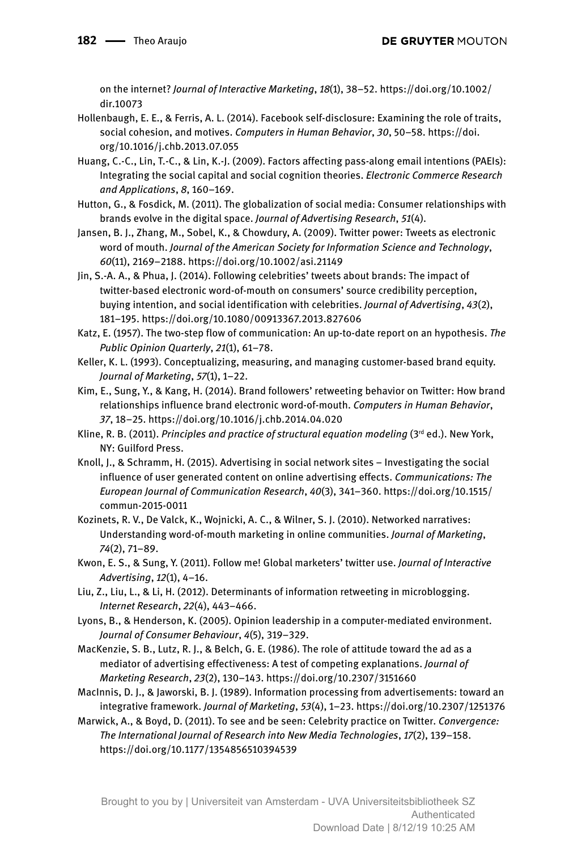on the internet? *Journal of Interactive Marketing*, *18*(1), 38–52. [https://doi.org/10.1002/](https://doi.org/10.1002/dir.10073) [dir.10073](https://doi.org/10.1002/dir.10073)

- Hollenbaugh, E. E., & Ferris, A. L. (2014). Facebook self-disclosure: Examining the role of traits, social cohesion, and motives. *Computers in Human Behavior*, *30*, 50–58. [https://doi.](https://doi.org/10.1016/j.chb.2013.07.055) [org/10.1016/j.chb.2013.07.055](https://doi.org/10.1016/j.chb.2013.07.055)
- Huang, C.-C., Lin, T.-C., & Lin, K.-J. (2009). Factors affecting pass-along email intentions (PAEIs): Integrating the social capital and social cognition theories. *Electronic Commerce Research and Applications*, *8*, 160–169.
- Hutton, G., & Fosdick, M. (2011). The globalization of social media: Consumer relationships with brands evolve in the digital space. *Journal of Advertising Research*, *51*(4).
- Jansen, B. J., Zhang, M., Sobel, K., & Chowdury, A. (2009). Twitter power: Tweets as electronic word of mouth. *Journal of the American Society for Information Science and Technology*, *60*(11), 2169–2188.<https://doi.org/10.1002/asi.21149>
- Jin, S.-A. A., & Phua, J. (2014). Following celebrities' tweets about brands: The impact of twitter-based electronic word-of-mouth on consumers' source credibility perception, buying intention, and social identification with celebrities. *Journal of Advertising*, *43*(2), 181–195. <https://doi.org/10.1080/00913367.2013.827606>
- Katz, E. (1957). The two-step flow of communication: An up-to-date report on an hypothesis. *The Public Opinion Quarterly*, *21*(1), 61–78.
- Keller, K. L. (1993). Conceptualizing, measuring, and managing customer-based brand equity. *Journal of Marketing*, *57*(1), 1–22.
- Kim, E., Sung, Y., & Kang, H. (2014). Brand followers' retweeting behavior on Twitter: How brand relationships influence brand electronic word-of-mouth. *Computers in Human Behavior*, *37*, 18–25. <https://doi.org/10.1016/j.chb.2014.04.020>
- Kline, R. B. (2011). *Principles and practice of structural equation modeling* (3<sup>rd</sup> ed.). New York, NY: Guilford Press.
- Knoll, J., & Schramm, H. (2015). Advertising in social network sites Investigating the social influence of user generated content on online advertising effects. *Communications: The European Journal of Communication Research*, *40*(3), 341–360. [https://doi.org/10.1515/](https://doi.org/10.1515/commun-2015-0011) [commun-2015-0011](https://doi.org/10.1515/commun-2015-0011)
- Kozinets, R. V., De Valck, K., Wojnicki, A. C., & Wilner, S. J. (2010). Networked narratives: Understanding word-of-mouth marketing in online communities. *Journal of Marketing*, *74*(2), 71–89.
- Kwon, E. S., & Sung, Y. (2011). Follow me! Global marketers' twitter use. *Journal of Interactive Advertising*, *12*(1), 4–16.
- Liu, Z., Liu, L., & Li, H. (2012). Determinants of information retweeting in microblogging. *Internet Research*, *22*(4), 443–466.
- Lyons, B., & Henderson, K. (2005). Opinion leadership in a computer-mediated environment. *Journal of Consumer Behaviour*, *4*(5), 319–329.
- MacKenzie, S. B., Lutz, R. J., & Belch, G. E. (1986). The role of attitude toward the ad as a mediator of advertising effectiveness: A test of competing explanations. *Journal of Marketing Research*, *23*(2), 130–143.<https://doi.org/10.2307/3151660>
- MacInnis, D. J., & Jaworski, B. J. (1989). Information processing from advertisements: toward an integrative framework. *Journal of Marketing*, *53*(4), 1–23.<https://doi.org/10.2307/1251376>
- Marwick, A., & Boyd, D. (2011). To see and be seen: Celebrity practice on Twitter. *Convergence: The International Journal of Research into New Media Technologies*, *17*(2), 139–158. <https://doi.org/10.1177/1354856510394539>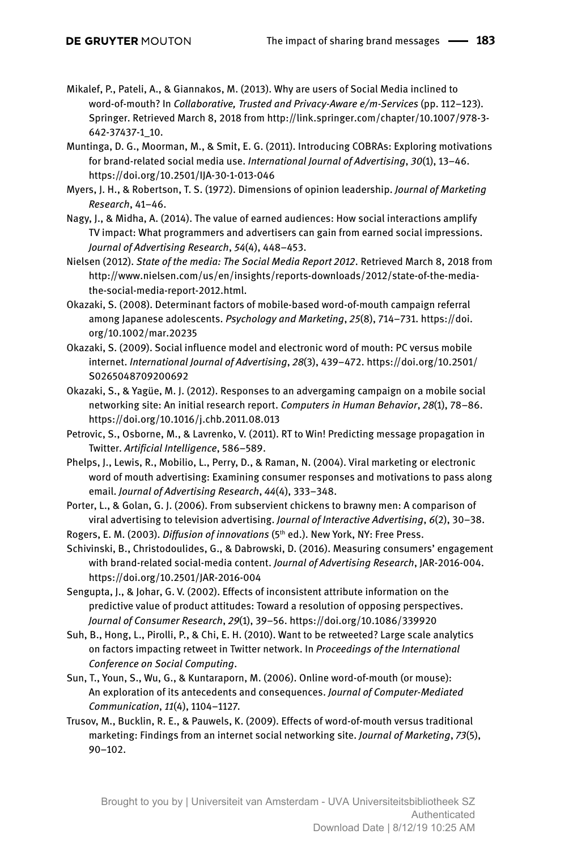- Mikalef, P., Pateli, A., & Giannakos, M. (2013). Why are users of Social Media inclined to word-of-mouth? In *Collaborative, Trusted and Privacy-Aware e/m-Services* (pp. 112–123). Springer. Retrieved March 8, 2018 from [http://link.springer.com/chapter/10.1007/978-3-](http://link.springer.com/chapter/10.1007/978-3-642-37437-1_10.) [642-37437-1\\_10.](http://link.springer.com/chapter/10.1007/978-3-642-37437-1_10.)
- Muntinga, D. G., Moorman, M., & Smit, E. G. (2011). Introducing COBRAs: Exploring motivations for brand-related social media use. *International Journal of Advertising*, *30*(1), 13–46. <https://doi.org/10.2501/IJA-30-1-013-046>
- Myers, J. H., & Robertson, T. S. (1972). Dimensions of opinion leadership. *Journal of Marketing Research*, 41–46.
- Nagy, J., & Midha, A. (2014). The value of earned audiences: How social interactions amplify TV impact: What programmers and advertisers can gain from earned social impressions. *Journal of Advertising Research*, *54*(4), 448–453.
- Nielsen (2012). *State of the media: The Social Media Report 2012*. Retrieved March 8, 2018 from [http://www.nielsen.com/us/en/insights/reports-downloads/2012/state-of-the-media](http://www.nielsen.com/us/en/insights/reports-downloads/2012/state-of-the-media-the-social-media-rep)[the-social-media-report-2012.html.](http://www.nielsen.com/us/en/insights/reports-downloads/2012/state-of-the-media-the-social-media-rep)
- Okazaki, S. (2008). Determinant factors of mobile-based word-of-mouth campaign referral among Japanese adolescents. *Psychology and Marketing*, *25*(8), 714–731. [https://doi.](https://doi.org/10.1002/mar.20235) [org/10.1002/mar.20235](https://doi.org/10.1002/mar.20235)
- Okazaki, S. (2009). Social influence model and electronic word of mouth: PC versus mobile internet. *International Journal of Advertising*, *28*(3), 439–472. [https://doi.org/10.2501/](https://doi.org/10.2501/S0265048709200692) [S0265048709200692](https://doi.org/10.2501/S0265048709200692)
- Okazaki, S., & Yagüe, M. J. (2012). Responses to an advergaming campaign on a mobile social networking site: An initial research report. *Computers in Human Behavior*, *28*(1), 78–86. <https://doi.org/10.1016/j.chb.2011.08.013>
- Petrovic, S., Osborne, M., & Lavrenko, V. (2011). RT to Win! Predicting message propagation in Twitter. *Artificial Intelligence*, 586–589.
- Phelps, J., Lewis, R., Mobilio, L., Perry, D., & Raman, N. (2004). Viral marketing or electronic word of mouth advertising: Examining consumer responses and motivations to pass along email. *Journal of Advertising Research*, *44*(4), 333–348.
- Porter, L., & Golan, G. J. (2006). From subservient chickens to brawny men: A comparison of viral advertising to television advertising. *Journal of Interactive Advertising*, *6*(2), 30–38.
- Rogers, E. M. (2003). *Diffusion of innovations* (5th ed.). New York, NY: Free Press.
- Schivinski, B., Christodoulides, G., & Dabrowski, D. (2016). Measuring consumers' engagement with brand-related social-media content. *Journal of Advertising Research*, JAR-2016-004. <https://doi.org/10.2501/JAR-2016-004>
- Sengupta, J., & Johar, G. V. (2002). Effects of inconsistent attribute information on the predictive value of product attitudes: Toward a resolution of opposing perspectives. *Journal of Consumer Research*, *29*(1), 39–56.<https://doi.org/10.1086/339920>
- Suh, B., Hong, L., Pirolli, P., & Chi, E. H. (2010). Want to be retweeted? Large scale analytics on factors impacting retweet in Twitter network. In *Proceedings of the International Conference on Social Computing*.
- Sun, T., Youn, S., Wu, G., & Kuntaraporn, M. (2006). Online word-of-mouth (or mouse): An exploration of its antecedents and consequences. *Journal of Computer-Mediated Communication*, *11*(4), 1104–1127.
- Trusov, M., Bucklin, R. E., & Pauwels, K. (2009). Effects of word-of-mouth versus traditional marketing: Findings from an internet social networking site. *Journal of Marketing*, *73*(5), 90–102.